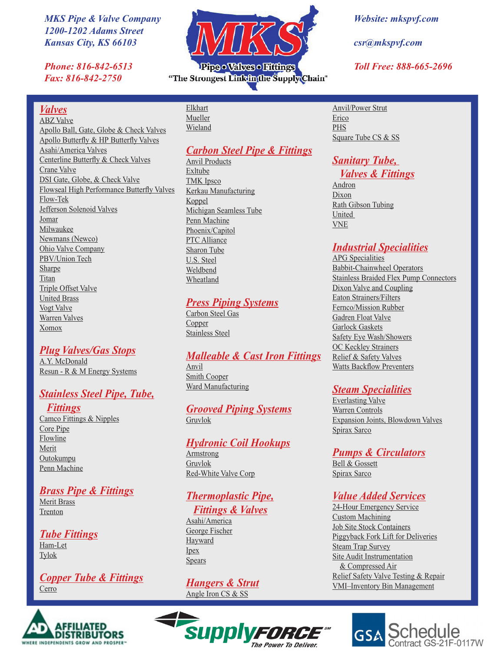*MKS Pipe & Valve Company 1200-1202 Adams Street Kansas City, KS 66103*

*Phone: 816-842-6513 Fax: 816-842-2750*

#### *Valves*

#### ABZ Valve Apollo Ball, Gate, Globe & Check Valves Apollo Butterfly & HP Butterfly Valves Asahi/America Valves Centerline Butterfly & Check Valves Crane Valve DSI Gate, Globe, & Check Valve Flowseal High Performance Butterfly Valves Flow-Tek Jefferson Solenoid Valves Jomar Milwaukee Newmans (Newco) Ohio Valve Company PBV/Union Tech Sharpe Titan Triple Offset Valve United Brass Vogt Valve Warren Valves Xomox

#### *Plug Valves/Gas Stops*

A.Y. McDonald Resun - R & M Energy Systems

#### *Stainless Steel Pipe, Tube,*

*Fittings* Camco Fittings & Nipples Core Pipe Flowline Merit **Outokumpu** Penn Machine

### *Brass Pipe & Fittings*

Merit Brass Trenton

#### *Tube Fittings* Ham-Let

Tylok

#### *Copper Tube & Fittings* **Cerro**





Pipe · Valves · Fittings "The Strongest Linkin the Supply Chain"

> Elkhart Mueller Wieland

#### *Carbon Steel Pipe & Fittings*

Anvil Products Exltube TMK Ipsco Kerkau Manufacturing Koppel Michigan Seamless Tube Penn Machine Phoenix/Capitol PTC Alliance Sharon Tube U.S. Steel Weldbend Wheatland

#### *Press Piping Systems*

Carbon Steel Gas Copper Stainless Steel

#### *Malleable & Cast Iron Fittings*

Anvil Smith Cooper Ward Manufacturing

#### *Grooved Piping Systems* Gruvlok

#### *Hydronic Coil Hookups*

Armstrong Gruvlok Red-White Valve Corp

#### *Thermoplastic Pipe, Fittings & Valves*

Asahi/America George Fischer Hayward Ipex Spears

*Hangers & Strut* Angle Iron CS & SS



*Website: mkspvf.com*

*csr@mkspvf.com*

*Toll Free: 888-665-2696*

Anvil/Power Strut Erico PHS Square Tube CS & SS

## *Sanitary Tube,*

#### *Valves & Fittings*

Andron Dixon Rath Gibson Tubing United VNE

#### *Industrial Specialities*

APG Specialities Babbit-Chainwheel Operators Stainless Braided Flex Pump Connectors Dixon Valve and Coupling Eaton Strainers/Filters Fernco/Mission Rubber Gadren Float Valve Garlock Gaskets Safety Eye Wash/Showers OC Keckley Strainers Relief & Safety Valves Watts Backflow Preventers

#### *Steam Specialities*

Everlasting Valve Warren Controls Expansion Joints, Blowdown Valves Spirax Sarco

#### *Pumps & Circulators*

Bell & Gossett Spirax Sarco

### *Value Added Services*

24-Hour Emergency Service Custom Machining Job Site Stock Containers Piggyback Fork Lift for Deliveries Steam Trap Survey Site Audit Instrumentation & Compressed Air Relief Safety Valve Testing & Repair VMI–Inventory Bin Management